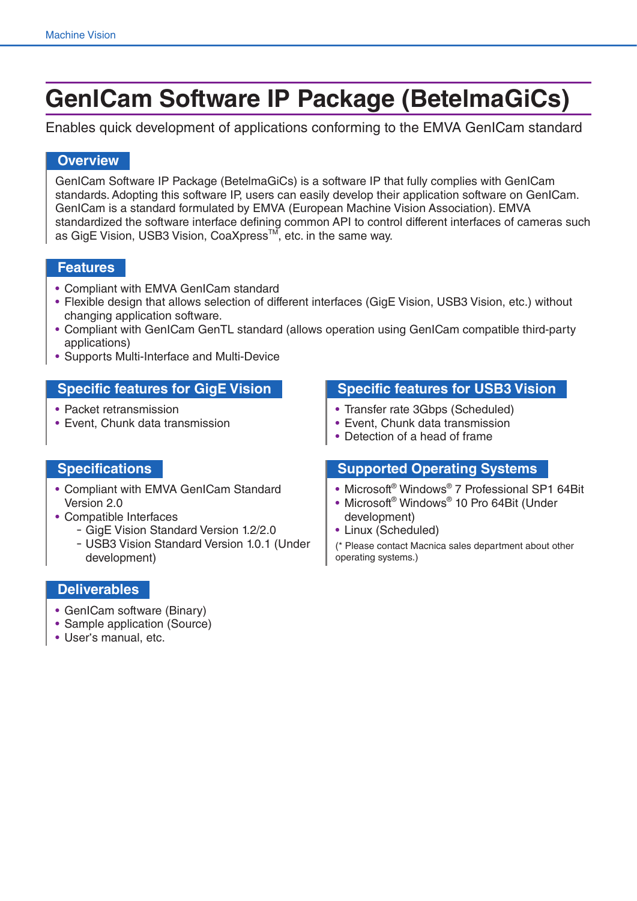# **GenICam Software IP Package (BetelmaGiCs)**

Enables quick development of applications conforming to the EMVA GenICam standard

# **Overview**

GenICam Software IP Package (BetelmaGiCs) is a software IP that fully complies with GenICam standards. Adopting this software IP, users can easily develop their application software on GenICam. GenICam is a standard formulated by EMVA (European Machine Vision Association). EMVA standardized the software interface defining common API to control different interfaces of cameras such as GigE Vision, USB3 Vision, CoaXpress™, etc. in the same way.

### **Features**

- Compliant with EMVA GenICam standard
- Flexible design that allows selection of different interfaces (GigE Vision, USB3 Vision, etc.) without changing application software.
- Compliant with GenICam GenTL standard (allows operation using GenICam compatible third-party applications)
- Supports Multi-Interface and Multi-Device

# **Specific features for GigE Vision Specific features for USB3 Vision**

- Packet retransmission
- Event, Chunk data transmission

- Transfer rate 3Gbps (Scheduled)
- Event, Chunk data transmission
- Detection of a head of frame

- Compliant with EMVA GenICam Standard Version 2.0
- Compatible Interfaces
	- ー GigE Vision Standard Version 1.2/2.0
	- ー USB3 Vision Standard Version 1.0.1 (Under development)

# **Specifications Supported Operating Systems**

- Microsoft® Windows® 7 Professional SP1 64Bit
- Microsoft® Windows® 10 Pro 64Bit (Under development)
- Linux (Scheduled)

(\* Please contact Macnica sales department about other operating systems.)

### **Deliverables**

- GenICam software (Binary)
- Sample application (Source)
- User's manual, etc.